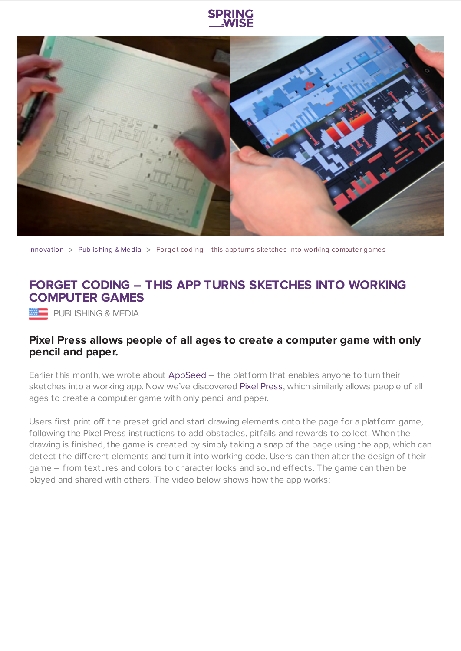



[Innovation](https://www.springwise.com/search?type=innovation)  $>$  [Publishing](https://www.springwise.com/search?type=innovation§or=publishing-media) & Media  $>$  Forget coding – this app turns sketches into working computer games

## **FORGET CODING – THIS APP TURNS SKETCHES INTO WORKING COMPUTER GAMES**

PUBLISHING & MEDIA

## **Pixel Press allows people of all ages to create a computer game with only pencil and paper.**

Earlier this month, we wrote about [AppSeed](https://www.springwise.com/platform-turns-drawings-apps-programming/) – the platform that enables anyone to turn their sketches into a working app. Now we've discovered Pixel [Press](http://www.pixelpressgame.com/), which similarly allows people of all ages to create a computer game with only pencil and paper.

Users first print off the preset grid and start drawing elements onto the page for a platform game, following the Pixel Press instructions to add obstacles, pitfalls and rewards to collect. When the drawing is finished, the game is created by simply taking a snap of the page using the app, which can detect the different elements and turn it into working code. Users can then alter the design of their game – from textures and colors to character looks and sound effects. The game can then be played and shared with others. The video below shows how the app works: